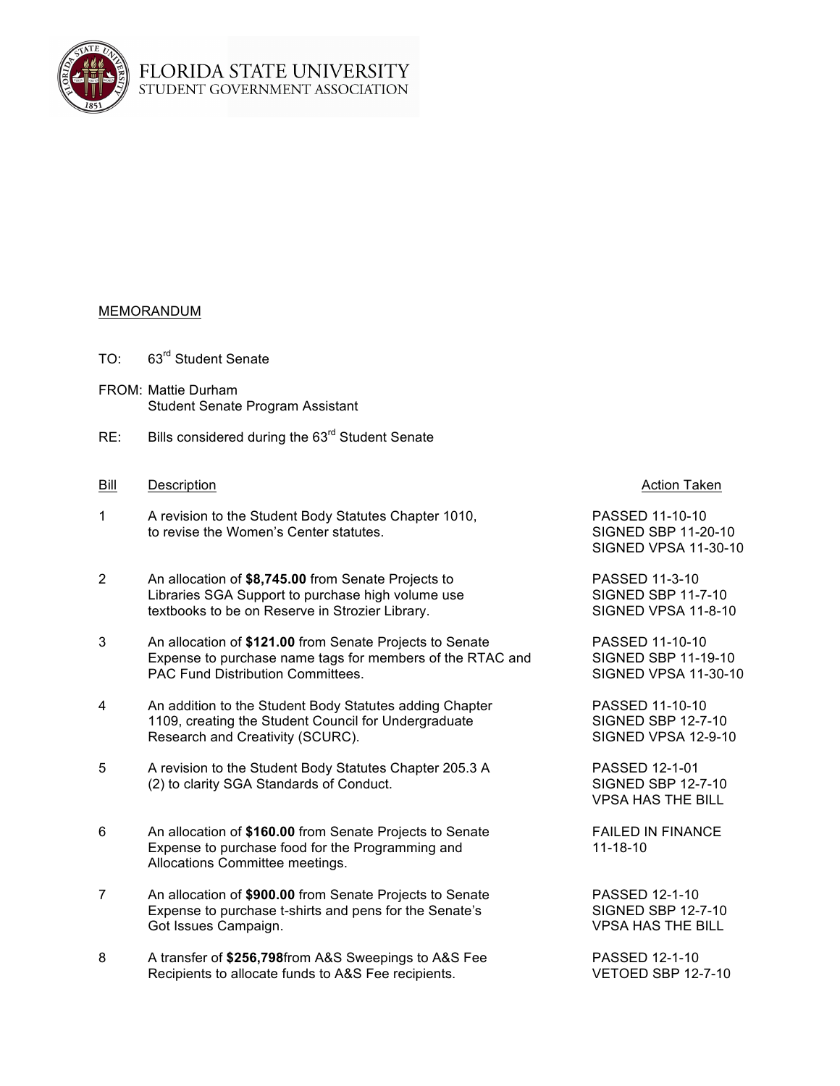

## MEMORANDUM

- TO: 63rd Student Senate
- FROM: Mattie Durham Student Senate Program Assistant
- RE: Bills considered during the  $63<sup>rd</sup>$  Student Senate

## Bill Description **Contract Contract Contract Contract Contract Contract Contract Contract Contract Contract Contract Contract Contract Contract Contract Contract Contract Contract Contract Contract Contract Contract Contra**

- 1 A revision to the Student Body Statutes Chapter 1010, PASSED 11-10-10 to revise the Women's Center statutes. The SIGNED SBP 11-20-10
- 2 An allocation of **\$8,745.00** from Senate Projects to PASSED 11-3-10 Libraries SGA Support to purchase high volume use SIGNED SBP 11-7-10 textbooks to be on Reserve in Strozier Library. SIGNED VPSA 11-8-10
- 3 An allocation of **\$121.00** from Senate Projects to Senate PASSED 11-10-10 Expense to purchase name tags for members of the RTAC and SIGNED SBP 11-19-10 PAC Fund Distribution Committees. SIGNED VPSA 11-30-10
- 4 An addition to the Student Body Statutes adding Chapter PASSED 11-10-10 1109, creating the Student Council for Undergraduate SIGNED SBP 12-7-10 Research and Creativity (SCURC). Signed and Creativity (SCURC).
- 5 A revision to the Student Body Statutes Chapter 205.3 A PASSED 12-1-01<br>(2) to clarity SGA Standards of Conduct. SIGNED SBP 12-7-10 (2) to clarity SGA Standards of Conduct.
- 6 An allocation of **\$160.00** from Senate Projects to Senate FAILED IN FINANCE Expense to purchase food for the Programming and 11-18-10 Allocations Committee meetings.
- 7 An allocation of **\$900.00** from Senate Projects to Senate PASSED 12-1-10 Expense to purchase t-shirts and pens for the Senate's SIGNED SBP 12-7-10 Got Issues Campaign. VPSA HAS THE BILL
- 8 A transfer of **\$256,798**from A&S Sweepings to A&S Fee PASSED 12-1-10 Recipients to allocate funds to A&S Fee recipients. VETOED SBP 12-7-10

SIGNED VPSA 11-30-10

VPSA HAS THE BILL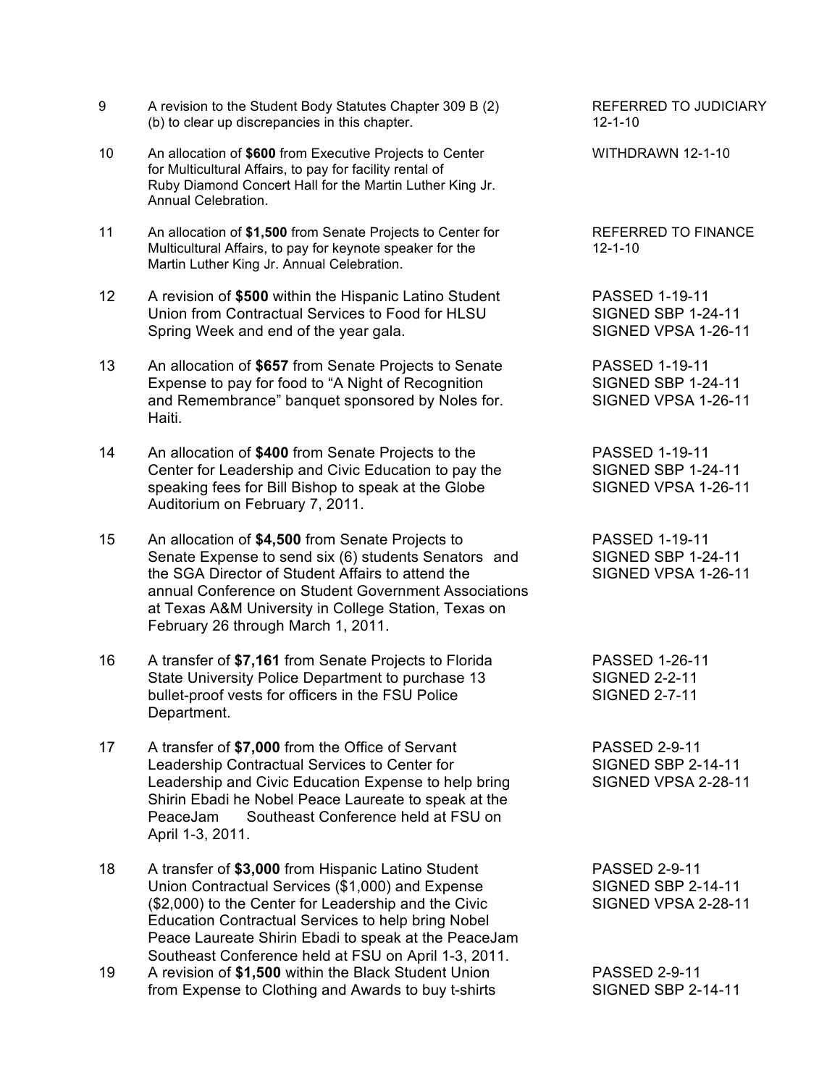- 9 A revision to the Student Body Statutes Chapter 309 B (2) REFERRED TO JUDICIARY<br>
(b) to clear up discrepancies in this chapter.<br>
12-1-10  $(b)$  to clear up discrepancies in this chapter.
- 10 An allocation of **\$600** from Executive Projects to Center WITHDRAWN 12-1-10 for Multicultural Affairs, to pay for facility rental of Ruby Diamond Concert Hall for the Martin Luther King Jr. Annual Celebration.
- 11 An allocation of **\$1,500** from Senate Projects to Center for REFERRED TO FINANCE<br>Multicultural Affairs, to pay for keynote speaker for the 12-1-10 Multicultural Affairs, to pay for keynote speaker for the Martin Luther King Jr. Annual Celebration.
- 12 A revision of **\$500** within the Hispanic Latino Student PASSED 1-19-11 Union from Contractual Services to Food for HLSU SIGNED SBP 1-24-11 Spring Week and end of the year gala. SIGNED VPSA 1-26-11
- 13 An allocation of **\$657** from Senate Projects to Senate PASSED 1-19-11 Expense to pay for food to "A Night of Recognition SIGNED SBP 1-24-11 and Remembrance" banquet sponsored by Noles for. SIGNED VPSA 1-26-11 Haiti.
- 14 An allocation of **\$400** from Senate Projects to the PASSED 1-19-11 Center for Leadership and Civic Education to pay the SIGNED SBP 1-24-11 speaking fees for Bill Bishop to speak at the Globe SIGNED VPSA 1-26-11 Auditorium on February 7, 2011.
- 15 An allocation of **\$4,500** from Senate Projects to PASSED 1-19-11 Senate Expense to send six (6) students Senators and SIGNED SBP 1-24-11 the SGA Director of Student Affairs to attend the SIGNED VPSA 1-26-11 annual Conference on Student Government Associations at Texas A&M University in College Station, Texas on February 26 through March 1, 2011.
- 16 A transfer of **\$7,161** from Senate Projects to Florida PASSED 1-26-11 State University Police Department to purchase 13 SIGNED 2-2-11 bullet-proof vests for officers in the FSU Police SIGNED 2-7-11 Department.
- 17 A transfer of **\$7,000** from the Office of Servant PASSED 2-9-11 Leadership Contractual Services to Center for SIGNED SBP 2-14-11 Leadership and Civic Education Expense to help bring SIGNED VPSA 2-28-11 Shirin Ebadi he Nobel Peace Laureate to speak at the PeaceJam Southeast Conference held at FSU on April 1-3, 2011.
- 18 A transfer of **\$3,000** from Hispanic Latino Student PASSED 2-9-11 Union Contractual Services (\$1,000) and Expense SIGNED SBP 2-14-11 (\$2,000) to the Center for Leadership and the Civic SIGNED VPSA 2-28-11 Education Contractual Services to help bring Nobel Peace Laureate Shirin Ebadi to speak at the PeaceJam Southeast Conference held at FSU on April 1-3, 2011.
- 19 A revision of **\$1,500** within the Black Student Union PASSED 2-9-11 from Expense to Clothing and Awards to buy t-shirts SIGNED SBP 2-14-11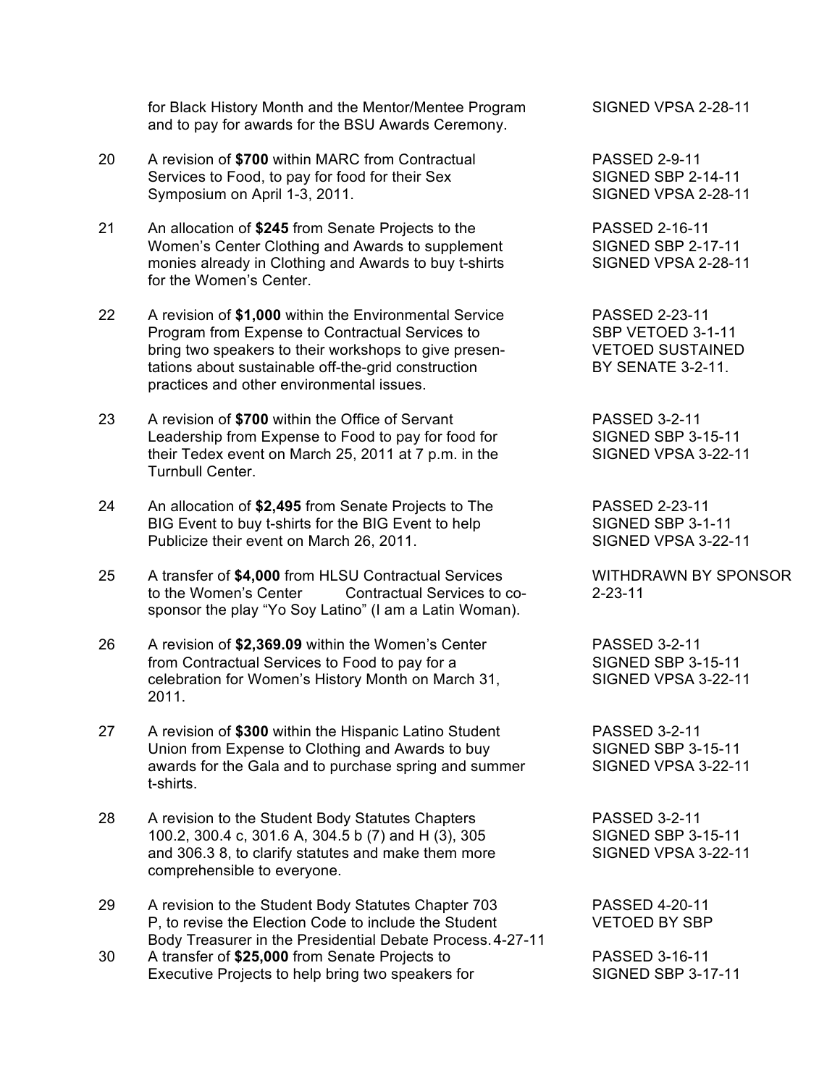for Black History Month and the Mentor/Mentee Program SIGNED VPSA 2-28-11 and to pay for awards for the BSU Awards Ceremony.

- 20 A revision of **\$700** within MARC from Contractual PASSED 2-9-11 Services to Food, to pay for food for their Sex SIGNED SBP 2-14-11 Symposium on April 1-3, 2011. Suppose that the SIGNED VPSA 2-28-11
- 21 An allocation of **\$245** from Senate Projects to the PASSED 2-16-11 Women's Center Clothing and Awards to supplement SIGNED SBP 2-17-11 monies already in Clothing and Awards to buy t-shirts SIGNED VPSA 2-28-11 for the Women's Center.
- 22 A revision of **\$1,000** within the Environmental Service PASSED 2-23-11 Program from Expense to Contractual Services to SBP VETOED 3-1-11 bring two speakers to their workshops to give presen- VETOED SUSTAINED tations about sustainable off-the-grid construction BY SENATE 3-2-11. practices and other environmental issues.
- 23 A revision of **\$700** within the Office of Servant PASSED 3-2-11 Leadership from Expense to Food to pay for food for SIGNED SBP 3-15-11 their Tedex event on March 25, 2011 at 7 p.m. in the SIGNED VPSA 3-22-11 Turnbull Center.
- 24 An allocation of **\$2,495** from Senate Projects to The PASSED 2-23-11 BIG Event to buy t-shirts for the BIG Event to help SIGNED SBP 3-1-11 Publicize their event on March 26, 2011. SIGNED VPSA 3-22-11
- 25 A transfer of **\$4,000** from HLSU Contractual Services WITHDRAWN BY SPONSOR to the Women's Center Contractual Services to co- 2-23-11 sponsor the play "Yo Soy Latino" (I am a Latin Woman).
- 26 A revision of **\$2,369.09** within the Women's Center PASSED 3-2-11 from Contractual Services to Food to pay for a SIGNED SBP 3-15-11 celebration for Women's History Month on March 31, SIGNED VPSA 3-22-11 2011.
- 27 A revision of **\$300** within the Hispanic Latino Student PASSED 3-2-11 Union from Expense to Clothing and Awards to buy SIGNED SBP 3-15-11 awards for the Gala and to purchase spring and summer SIGNED VPSA 3-22-11 t-shirts.
- 28 A revision to the Student Body Statutes Chapters PASSED 3-2-11 100.2, 300.4 c, 301.6 A, 304.5 b (7) and H (3), 305 SIGNED SBP 3-15-11 and 306.3 8, to clarify statutes and make them more SIGNED VPSA 3-22-11 comprehensible to everyone.
- 29 A revision to the Student Body Statutes Chapter 703 PASSED 4-20-11 P, to revise the Election Code to include the Student VETOED BY SBP Body Treasurer in the Presidential Debate Process.4-27-11
- 30 A transfer of **\$25,000** from Senate Projects to PASSED 3-16-11 Executive Projects to help bring two speakers for SIGNED SBP 3-17-11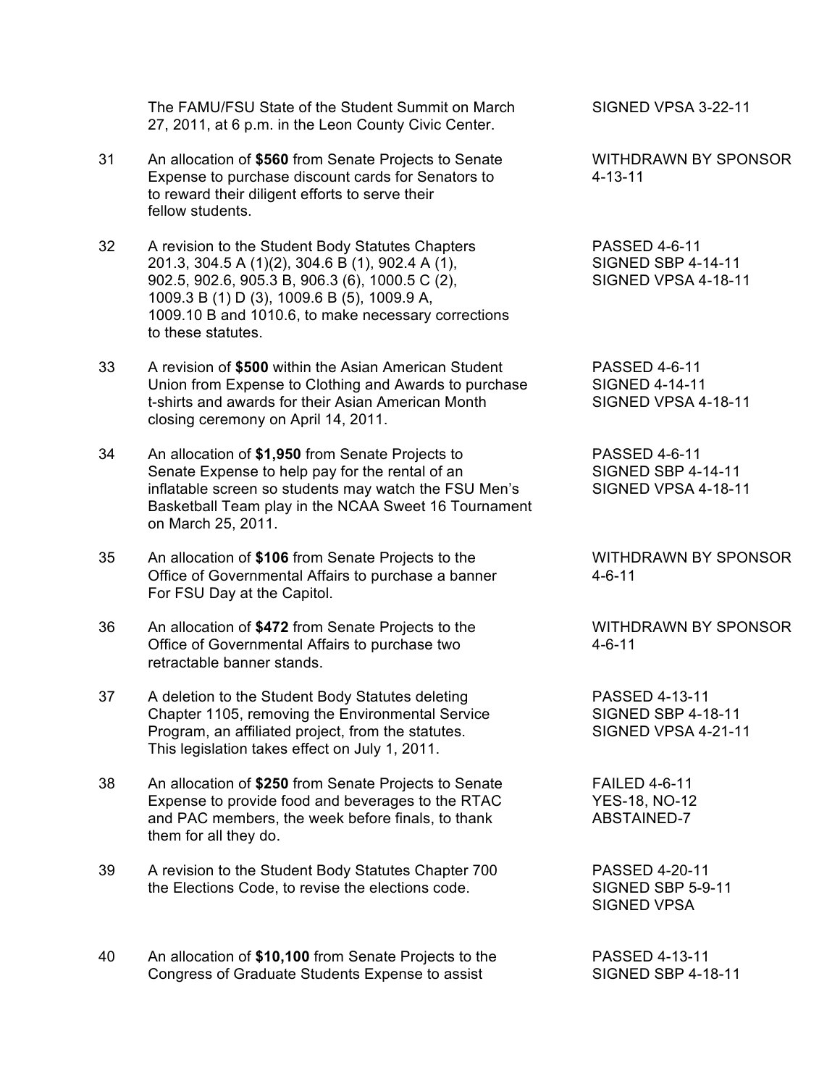The FAMU/FSU State of the Student Summit on March SIGNED VPSA 3-22-11 27, 2011, at 6 p.m. in the Leon County Civic Center.

- 31 An allocation of **\$560** from Senate Projects to Senate WITHDRAWN BY SPONSOR Expense to purchase discount cards for Senators to 4-13-11 to reward their diligent efforts to serve their fellow students.
- 32 A revision to the Student Body Statutes Chapters PASSED 4-6-11 201.3, 304.5 A (1)(2), 304.6 B (1), 902.4 A (1), SIGNED SBP 4-14-11 902.5, 902.6, 905.3 B, 906.3 (6), 1000.5 C (2), SIGNED VPSA 4-18-11 1009.3 B (1) D (3), 1009.6 B (5), 1009.9 A, 1009.10 B and 1010.6, to make necessary corrections to these statutes.
- 33 A revision of **\$500** within the Asian American Student PASSED 4-6-11 Union from Expense to Clothing and Awards to purchase SIGNED 4-14-11 t-shirts and awards for their Asian American Month SIGNED VPSA 4-18-11 closing ceremony on April 14, 2011.
- 34 An allocation of **\$1,950** from Senate Projects to PASSED 4-6-11 Senate Expense to help pay for the rental of an SIGNED SBP 4-14-11 inflatable screen so students may watch the FSU Men's SIGNED VPSA 4-18-11 Basketball Team play in the NCAA Sweet 16 Tournament on March 25, 2011.
- 35 An allocation of **\$106** from Senate Projects to the WITHDRAWN BY SPONSOR Office of Governmental Affairs to purchase a banner 4-6-11 For FSU Day at the Capitol.
- 36 An allocation of **\$472** from Senate Projects to the WITHDRAWN BY SPONSOR Office of Governmental Affairs to purchase two 4-6-11 retractable banner stands.
- 37 A deletion to the Student Body Statutes deleting The State RASSED 4-13-11 Chapter 1105, removing the Environmental Service SIGNED SBP 4-18-11 Program, an affiliated project, from the statutes. SIGNED VPSA 4-21-11 This legislation takes effect on July 1, 2011.
- 38 An allocation of **\$250** from Senate Projects to Senate FAILED 4-6-11 Expense to provide food and beverages to the RTAC YES-18, NO-12 and PAC members, the week before finals, to thank ABSTAINED-7 them for all they do.
- 39 A revision to the Student Body Statutes Chapter 700 PASSED 4-20-11 the Elections Code, to revise the elections code. SIGNED SBP 5-9-11
- 40 An allocation of **\$10,100** from Senate Projects to the PASSED 4-13-11 Congress of Graduate Students Expense to assist SIGNED SBP 4-18-11

SIGNED VPSA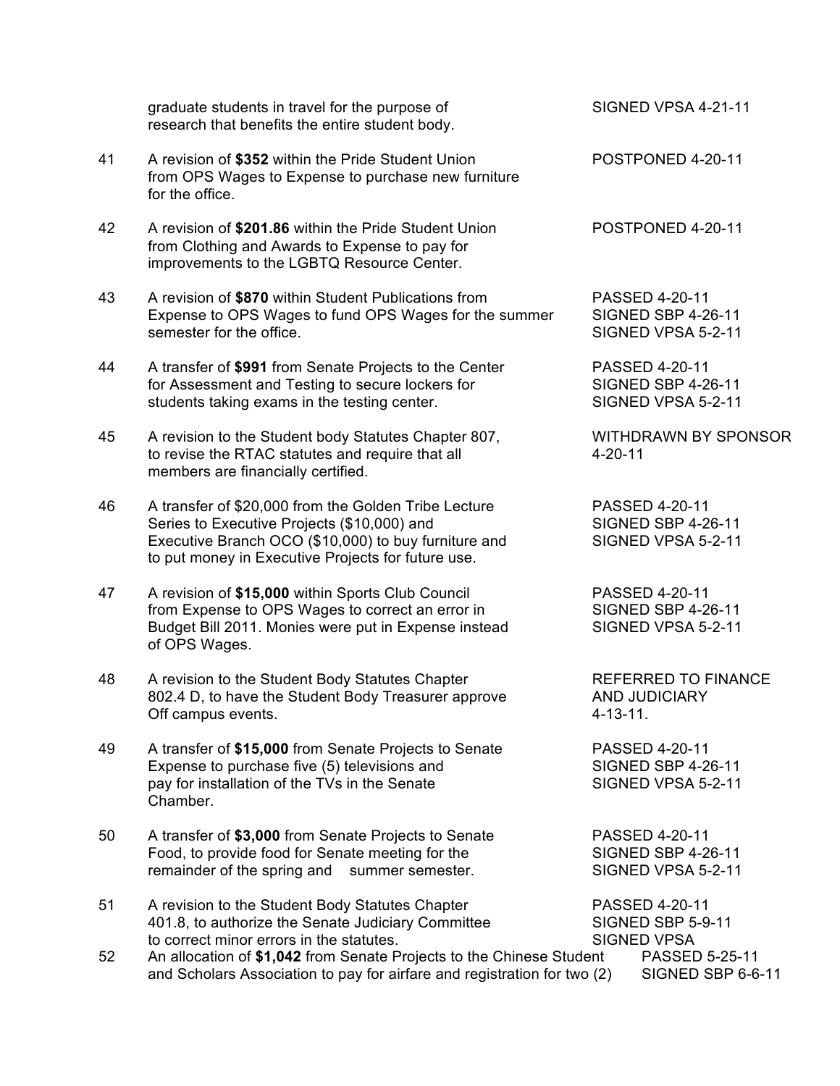|          | graduate students in travel for the purpose of<br>research that benefits the entire student body.                                                                                                                         | SIGNED VPSA 4-21-11                                                                |
|----------|---------------------------------------------------------------------------------------------------------------------------------------------------------------------------------------------------------------------------|------------------------------------------------------------------------------------|
| 41       | A revision of \$352 within the Pride Student Union<br>from OPS Wages to Expense to purchase new furniture<br>for the office.                                                                                              | POSTPONED 4-20-11                                                                  |
| 42       | A revision of \$201.86 within the Pride Student Union<br>from Clothing and Awards to Expense to pay for<br>improvements to the LGBTQ Resource Center.                                                                     | POSTPONED 4-20-11                                                                  |
| 43       | A revision of \$870 within Student Publications from<br>Expense to OPS Wages to fund OPS Wages for the summer<br>semester for the office.                                                                                 | <b>PASSED 4-20-11</b><br><b>SIGNED SBP 4-26-11</b><br>SIGNED VPSA 5-2-11           |
| 44       | A transfer of \$991 from Senate Projects to the Center<br>for Assessment and Testing to secure lockers for<br>students taking exams in the testing center.                                                                | PASSED 4-20-11<br><b>SIGNED SBP 4-26-11</b><br>SIGNED VPSA 5-2-11                  |
| 45       | A revision to the Student body Statutes Chapter 807,<br>to revise the RTAC statutes and require that all<br>members are financially certified.                                                                            | <b>WITHDRAWN BY SPONSOR</b><br>$4 - 20 - 11$                                       |
| 46       | A transfer of \$20,000 from the Golden Tribe Lecture<br>Series to Executive Projects (\$10,000) and<br>Executive Branch OCO (\$10,000) to buy furniture and<br>to put money in Executive Projects for future use.         | <b>PASSED 4-20-11</b><br><b>SIGNED SBP 4-26-11</b><br>SIGNED VPSA 5-2-11           |
| 47       | A revision of \$15,000 within Sports Club Council<br>from Expense to OPS Wages to correct an error in<br>Budget Bill 2011. Monies were put in Expense instead<br>of OPS Wages.                                            | <b>PASSED 4-20-11</b><br><b>SIGNED SBP 4-26-11</b><br>SIGNED VPSA 5-2-11           |
| 48       | A revision to the Student Body Statutes Chapter<br>802.4 D, to have the Student Body Treasurer approve<br>Off campus events.                                                                                              | <b>REFERRED TO FINANCE</b><br><b>AND JUDICIARY</b><br>$4 - 13 - 11$ .              |
| 49       | A transfer of \$15,000 from Senate Projects to Senate<br>Expense to purchase five (5) televisions and<br>pay for installation of the TVs in the Senate<br>Chamber.                                                        | PASSED 4-20-11<br><b>SIGNED SBP 4-26-11</b><br>SIGNED VPSA 5-2-11                  |
| 50       | A transfer of \$3,000 from Senate Projects to Senate<br>Food, to provide food for Senate meeting for the<br>remainder of the spring and<br>summer semester.                                                               | <b>PASSED 4-20-11</b><br><b>SIGNED SBP 4-26-11</b><br>SIGNED VPSA 5-2-11           |
| 51<br>52 | A revision to the Student Body Statutes Chapter<br>401.8, to authorize the Senate Judiciary Committee<br>to correct minor errors in the statutes.<br>An allocation of \$1,042 from Senate Projects to the Chinese Student | <b>PASSED 4-20-11</b><br>SIGNED SBP 5-9-11<br><b>SIGNED VPSA</b><br>PASSED 5-25-11 |
|          | and Scholars Association to pay for airfare and registration for two (2)                                                                                                                                                  | SIGNED SBP 6-6-11                                                                  |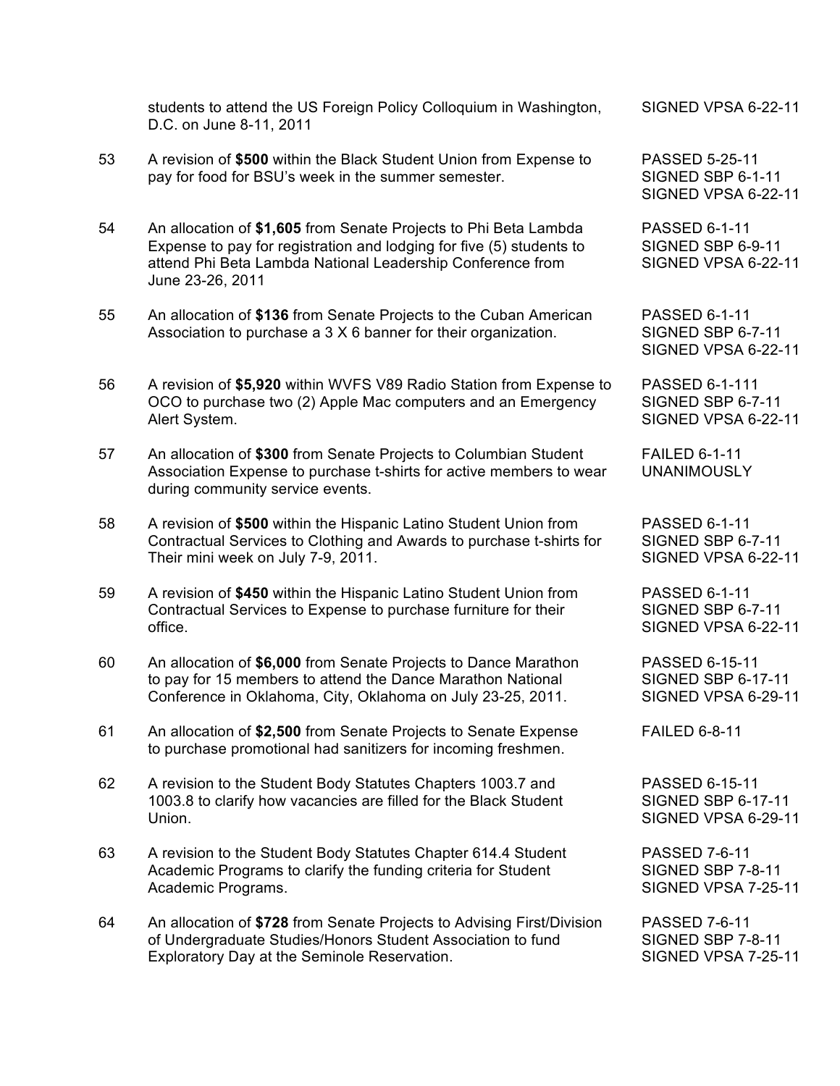|    | students to attend the US Foreign Policy Colloquium in Washington,<br>D.C. on June 8-11, 2011                                                                                                                              | <b>SIGNED VPSA 6-22-11</b>                                                      |
|----|----------------------------------------------------------------------------------------------------------------------------------------------------------------------------------------------------------------------------|---------------------------------------------------------------------------------|
| 53 | A revision of \$500 within the Black Student Union from Expense to<br>pay for food for BSU's week in the summer semester.                                                                                                  | <b>PASSED 5-25-11</b><br>SIGNED SBP 6-1-11<br>SIGNED VPSA 6-22-11               |
| 54 | An allocation of \$1,605 from Senate Projects to Phi Beta Lambda<br>Expense to pay for registration and lodging for five (5) students to<br>attend Phi Beta Lambda National Leadership Conference from<br>June 23-26, 2011 | <b>PASSED 6-1-11</b><br>SIGNED SBP 6-9-11<br>SIGNED VPSA 6-22-11                |
| 55 | An allocation of \$136 from Senate Projects to the Cuban American<br>Association to purchase a 3 X 6 banner for their organization.                                                                                        | <b>PASSED 6-1-11</b><br><b>SIGNED SBP 6-7-11</b><br><b>SIGNED VPSA 6-22-11</b>  |
| 56 | A revision of \$5,920 within WVFS V89 Radio Station from Expense to<br>OCO to purchase two (2) Apple Mac computers and an Emergency<br>Alert System.                                                                       | <b>PASSED 6-1-111</b><br><b>SIGNED SBP 6-7-11</b><br><b>SIGNED VPSA 6-22-11</b> |
| 57 | An allocation of \$300 from Senate Projects to Columbian Student<br>Association Expense to purchase t-shirts for active members to wear<br>during community service events.                                                | <b>FAILED 6-1-11</b><br><b>UNANIMOUSLY</b>                                      |
| 58 | A revision of \$500 within the Hispanic Latino Student Union from<br>Contractual Services to Clothing and Awards to purchase t-shirts for<br>Their mini week on July 7-9, 2011.                                            | <b>PASSED 6-1-11</b><br><b>SIGNED SBP 6-7-11</b><br>SIGNED VPSA 6-22-11         |
| 59 | A revision of \$450 within the Hispanic Latino Student Union from<br>Contractual Services to Expense to purchase furniture for their<br>office.                                                                            | <b>PASSED 6-1-11</b><br><b>SIGNED SBP 6-7-11</b><br><b>SIGNED VPSA 6-22-11</b>  |
| 60 | An allocation of \$6,000 from Senate Projects to Dance Marathon<br>to pay for 15 members to attend the Dance Marathon National<br>Conference in Oklahoma, City, Oklahoma on July 23-25, 2011.                              | PASSED 6-15-11<br><b>SIGNED SBP 6-17-11</b><br>SIGNED VPSA 6-29-11              |
| 61 | An allocation of \$2,500 from Senate Projects to Senate Expense<br>to purchase promotional had sanitizers for incoming freshmen.                                                                                           | <b>FAILED 6-8-11</b>                                                            |
| 62 | A revision to the Student Body Statutes Chapters 1003.7 and<br>1003.8 to clarify how vacancies are filled for the Black Student<br>Union.                                                                                  | PASSED 6-15-11<br><b>SIGNED SBP 6-17-11</b><br>SIGNED VPSA 6-29-11              |
| 63 | A revision to the Student Body Statutes Chapter 614.4 Student<br>Academic Programs to clarify the funding criteria for Student<br>Academic Programs.                                                                       | <b>PASSED 7-6-11</b><br><b>SIGNED SBP 7-8-11</b><br>SIGNED VPSA 7-25-11         |
| 64 | An allocation of \$728 from Senate Projects to Advising First/Division<br>of Undergraduate Studies/Honors Student Association to fund<br>Exploratory Day at the Seminole Reservation.                                      | <b>PASSED 7-6-11</b><br>SIGNED SBP 7-8-11<br>SIGNED VPSA 7-25-11                |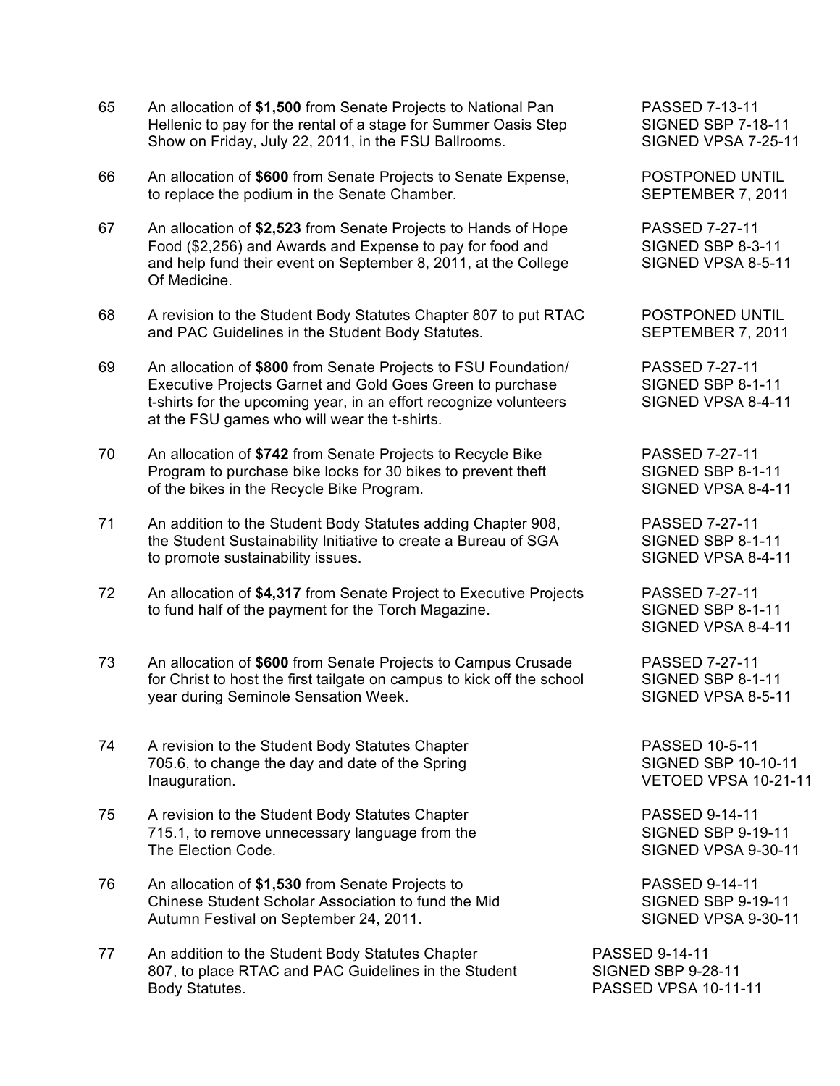- 65 An allocation of **\$1,500** from Senate Projects to National Pan PASSED 7-13-11 Hellenic to pay for the rental of a stage for Summer Oasis Step SIGNED SBP 7-18-11 Show on Friday, July 22, 2011, in the FSU Ballrooms. SIGNED VPSA 7-25-11
- 66 An allocation of **\$600** from Senate Projects to Senate Expense, POSTPONED UNTIL to replace the podium in the Senate Chamber. SEPTEMBER 7, 2011
- 67 An allocation of **\$2,523** from Senate Projects to Hands of Hope PASSED 7-27-11 Food (\$2,256) and Awards and Expense to pay for food and SIGNED SBP 8-3-11 and help fund their event on September 8, 2011, at the College SIGNED VPSA 8-5-11 Of Medicine.
- 68 A revision to the Student Body Statutes Chapter 807 to put RTAC POSTPONED UNTIL and PAC Guidelines in the Student Body Statutes. SEPTEMBER 7, 2011
- 69 An allocation of **\$800** from Senate Projects to FSU Foundation/ PASSED 7-27-11 Executive Projects Garnet and Gold Goes Green to purchase SIGNED SBP 8-1-11 t-shirts for the upcoming year, in an effort recognize volunteers SIGNED VPSA 8-4-11 at the FSU games who will wear the t-shirts.
- 70 An allocation of **\$742** from Senate Projects to Recycle Bike PASSED 7-27-11 Program to purchase bike locks for 30 bikes to prevent theft SIGNED SBP 8-1-11 of the bikes in the Recycle Bike Program. SIGNED VPSA 8-4-11
- 71 An addition to the Student Body Statutes adding Chapter 908, PASSED 7-27-11 the Student Sustainability Initiative to create a Bureau of SGA SIGNED SBP 8-1-11 to promote sustainability issues. SIGNED VPSA 8-4-11
- 72 An allocation of **\$4,317** from Senate Project to Executive Projects PASSED 7-27-11 to fund half of the payment for the Torch Magazine. SIGNED SBP 8-1-11
- 73 An allocation of **\$600** from Senate Projects to Campus Crusade PASSED 7-27-11 for Christ to host the first tailgate on campus to kick off the school SIGNED SBP 8-1-11 year during Seminole Sensation Week. SIGNED VPSA 8-5-11
- 74 A revision to the Student Body Statutes Chapter The State State RASSED 10-5-11 705.6, to change the day and date of the Spring SIGNED SBP 10-10-11 Inauguration. VETOED VPSA 10-21-11
- 75 A revision to the Student Body Statutes Chapter PASSED 9-14-11 715.1, to remove unnecessary language from the SIGNED SBP 9-19-11 The Election Code. Signed and the SIGNED VPSA 9-30-11
- 76 An allocation of **\$1,530** from Senate Projects to PASSED 9-14-11 Chinese Student Scholar Association to fund the Mid SIGNED SBP 9-19-11 Autumn Festival on September 24, 2011. Autumn Festival on September 24, 2011.
- 77 An addition to the Student Body Statutes Chapter **PASSED** 9-14-11 807, to place RTAC and PAC Guidelines in the Student SIGNED SBP 9-28-11 Body Statutes. **PASSED VPSA 10-11-11**

SIGNED VPSA 8-4-11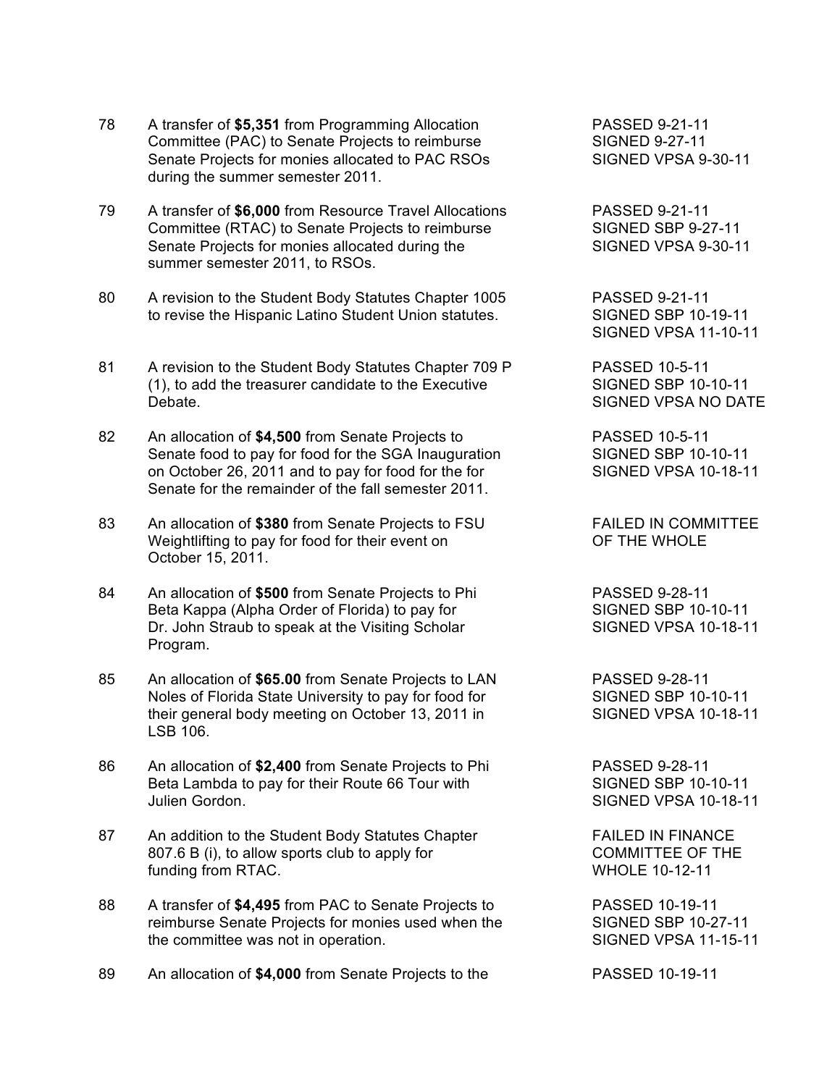- 78 A transfer of **\$5,351** from Programming Allocation PASSED 9-21-11 Committee (PAC) to Senate Projects to reimburse SIGNED 9-27-11 Senate Projects for monies allocated to PAC RSOs SIGNED VPSA 9-30-11 during the summer semester 2011.
- 79 A transfer of **\$6,000** from Resource Travel Allocations PASSED 9-21-11 Committee (RTAC) to Senate Projects to reimburse SIGNED SBP 9-27-11 Senate Projects for monies allocated during the SIGNED VPSA 9-30-11 summer semester 2011, to RSOs.
- 80 A revision to the Student Body Statutes Chapter 1005 PASSED 9-21-11 to revise the Hispanic Latino Student Union statutes. SIGNED SBP 10-19-11
- 81 A revision to the Student Body Statutes Chapter 709 P PASSED 10-5-11 (1), to add the treasurer candidate to the Executive SIGNED SBP 10-10-11 Debate. SIGNED VPSA NO DATE
- 82 An allocation of **\$4,500** from Senate Projects to PASSED 10-5-11 Senate food to pay for food for the SGA Inauguration SIGNED SBP 10-10-11 on October 26, 2011 and to pay for food for the for SIGNED VPSA 10-18-11 Senate for the remainder of the fall semester 2011.
- 83 An allocation of \$380 from Senate Projects to FSU FAILED IN COMMITTEE Weightlifting to pay for food for their event on The WHOLE OF THE WHOLE October 15, 2011.
- 84 An allocation of **\$500** from Senate Projects to Phi PASSED 9-28-11 Beta Kappa (Alpha Order of Florida) to pay for SIGNED SBP 10-10-11 Dr. John Straub to speak at the Visiting Scholar SIGNED VPSA 10-18-11 Program.
- 85 An allocation of **\$65.00** from Senate Projects to LAN PASSED 9-28-11 Noles of Florida State University to pay for food for SIGNED SBP 10-10-11 their general body meeting on October 13, 2011 in SIGNED VPSA 10-18-11 LSB 106.
- 86 An allocation of **\$2,400** from Senate Projects to Phi PASSED 9-28-11 Beta Lambda to pay for their Route 66 Tour with SIGNED SBP 10-10-11 Julien Gordon. SIGNED VPSA 10-18-11
- 87 An addition to the Student Body Statutes Chapter FAILED IN FINANCE 807.6 B (i), to allow sports club to apply for COMMITTEE OF THE funding from RTAC. WHOLE 10-12-11
- 88 A transfer of **\$4,495** from PAC to Senate Projects to PASSED 10-19-11 reimburse Senate Projects for monies used when the SIGNED SBP 10-27-11 the committee was not in operation. The state of the SIGNED VPSA 11-15-11
- 89 An allocation of **\$4,000** from Senate Projects to the PASSED 10-19-11

SIGNED VPSA 11-10-11